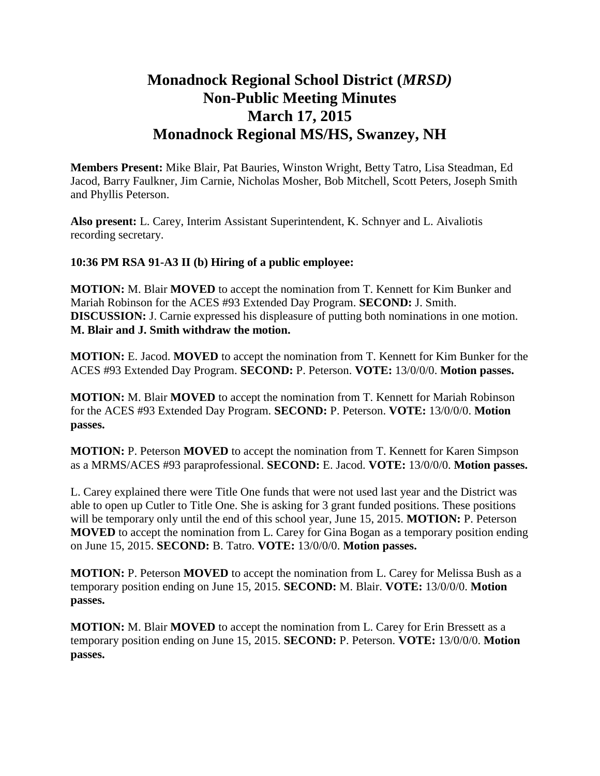## **Monadnock Regional School District (***MRSD)* **Non-Public Meeting Minutes March 17, 2015 Monadnock Regional MS/HS, Swanzey, NH**

**Members Present:** Mike Blair, Pat Bauries, Winston Wright, Betty Tatro, Lisa Steadman, Ed Jacod, Barry Faulkner, Jim Carnie, Nicholas Mosher, Bob Mitchell, Scott Peters, Joseph Smith and Phyllis Peterson.

**Also present:** L. Carey, Interim Assistant Superintendent, K. Schnyer and L. Aivaliotis recording secretary.

## **10:36 PM RSA 91-A3 II (b) Hiring of a public employee:**

**MOTION:** M. Blair **MOVED** to accept the nomination from T. Kennett for Kim Bunker and Mariah Robinson for the ACES #93 Extended Day Program. **SECOND:** J. Smith. **DISCUSSION:** J. Carnie expressed his displeasure of putting both nominations in one motion. **M. Blair and J. Smith withdraw the motion.** 

**MOTION:** E. Jacod. **MOVED** to accept the nomination from T. Kennett for Kim Bunker for the ACES #93 Extended Day Program. **SECOND:** P. Peterson. **VOTE:** 13/0/0/0. **Motion passes.** 

**MOTION:** M. Blair **MOVED** to accept the nomination from T. Kennett for Mariah Robinson for the ACES #93 Extended Day Program. **SECOND:** P. Peterson. **VOTE:** 13/0/0/0. **Motion passes.** 

**MOTION:** P. Peterson **MOVED** to accept the nomination from T. Kennett for Karen Simpson as a MRMS/ACES #93 paraprofessional. **SECOND:** E. Jacod. **VOTE:** 13/0/0/0. **Motion passes.** 

L. Carey explained there were Title One funds that were not used last year and the District was able to open up Cutler to Title One. She is asking for 3 grant funded positions. These positions will be temporary only until the end of this school year, June 15, 2015. **MOTION:** P. Peterson **MOVED** to accept the nomination from L. Carey for Gina Bogan as a temporary position ending on June 15, 2015. **SECOND:** B. Tatro. **VOTE:** 13/0/0/0. **Motion passes.** 

**MOTION:** P. Peterson **MOVED** to accept the nomination from L. Carey for Melissa Bush as a temporary position ending on June 15, 2015. **SECOND:** M. Blair. **VOTE:** 13/0/0/0. **Motion passes.** 

**MOTION:** M. Blair **MOVED** to accept the nomination from L. Carey for Erin Bressett as a temporary position ending on June 15, 2015. **SECOND:** P. Peterson. **VOTE:** 13/0/0/0. **Motion passes.**